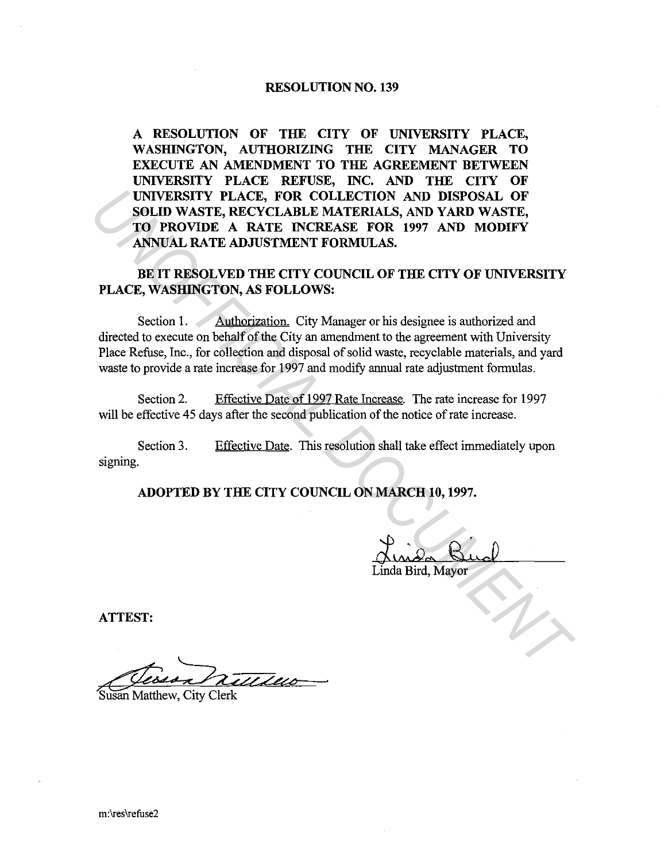#### RESOLUTION NO. 139

A RESOLUTION OF THE CITY OF UNIVERSITY PLACE, WASHINGTON, AUTHORIZING THE CITY MANAGER TO EXECUTE AN AMENDMENT TO THE AGREEMENT BETWEEN UNIVERSITY PLACE REFUSE, INC. AND THE CITY OF UNIVERSITY PLACE, FOR COLLECTION AND DISPOSAL OF SOLID WASTE, RECYCLABLE MATERIALS, AND YARD WASTE, TO PROVIDE A RATE INCREASE FOR 1997 AND MODIFY ANNUAL RATE ADJUSTMENT FORMULAS.

BE IT RESOLVED THE CITY COUNCIL OF THE CITY OF UNIVERSITY PLACE, WASHINGTON, AS FOLLOWS:

Section 1. Authorization. City Manager or his designee is authorized and directed to execute on behalf of the City an amendment to the agreement with University Place Refuse, Inc., for collection and disposal of solid waste, recyclable materials, and yard waste to provide a rate increase for 1997 and modify annual rate adjustment formulas. UNIVERSITY PLACE, FOR COLLECTION AND DISPOSAL OF<br>
SOLID WASTE, RECYCLABLE MATERIALS, AND YARD WASTE,<br>
TO PROVIDE A RATE INCREASE FOR 1997 AND MODIFY<br>
ANVIAL RATE ADJUSTMENT FORMULAS.<br>
BE IT RESOLVED THE CITY COUNCIL OF THE

Section 2. Effective Date of 1997 Rate Increase. The rate increase for 1997 will be effective 45 days after the second publication of the notice of rate increase.

Section 3. signing. Effective Date. This resolution shall take effect immediately upon

ADOPTED BY THE CITY COUNCIL ON MARCH 10, 1997.

Linda Bird, Mayor

ATTEST:

Susan Matthew, City Clerk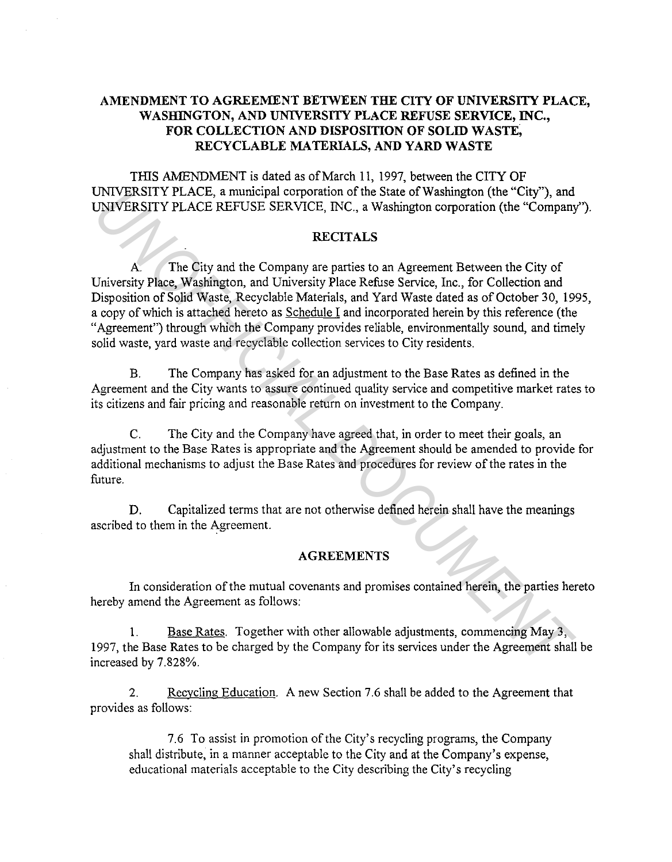# AMENDMENT TO AGREEMENT BETWEEN THE CITY OF UNIVERSITY PLACE, WASHINGTON, AND UNIVERSITY PLACE REFUSE SERVICE, INC., FOR COLLECTION AND DISPOSITION OF SOLID WASTE, RECYCLABLE MATERIALS, AND YARD WASTE

THIS AMENDMENT is dated as of March 11, 1997, between the CITY OF UNIVERSITY PLACE, a municipal corporation of the State of Washington (the "City"), and UNIVERSITY PLACE REFUSE SERVICE, INC., a Washington corporation (the "Company").

# RECITALS

A. The City and the Company are parties to an Agreement Between the City of University Place, Washington, and University Place Refuse Service, Inc., for Collection and Disposition of Solid Waste, Recyclable Materials, and Yard Waste dated as of October 30, 1995, a copy of which is attached hereto as Schedule I and incorporated herein by this reference (the "Agreement") through which the Company provides reliable, environmentally sound, and timely solid waste, yard waste and recyclable collection services to City residents. UNIVERSITY PLACE, a municipal corporation of the State of Washington (the "City"), and<br>
UNIVERSITY PLACE, REFUSE SERVICE, INC., a Washington corporation (the "Company<br>
RECITALS<br>
A The City and the Company are parties to an

B. The Company has asked for an adjustment to the Base Rates as defined in the Agreement and the City wants to assure continued quality service and competitive market rates to its citizens and fair pricing and reasonable return on investment to the Company.

C. The City and the Company have agreed that, in order to meet their goals, an adjustment to the Base Rates is appropriate and the Agreement should be amended to provide for additional mechanisms to adjust the Base Rates and procedures for review of the rates in the future.

D. Capitalized terms that are not otherwise defined herein shall have the meanings ascribed to them in the Agreement.

## AGREEMENTS

In consideration of the mutual covenants and promises contained herein, the parties hereto hereby amend the Agreement as follows:

1. Base Rates. Together with other allowable adjustments, commencing May 3, 1997, the Base Rates to be charged by the Company for its services under the Agreement shall be increased by 7.828%.

2. Recycling Education. A new Section 7.6 shall be added to the Agreement that provides as follows:

7. 6 To assist in promotion of the City's recycling programs, the Company shall distribute, in a manner acceptable to the City and at the Company's expense, educational materials acceptable to the City describing the City's recycling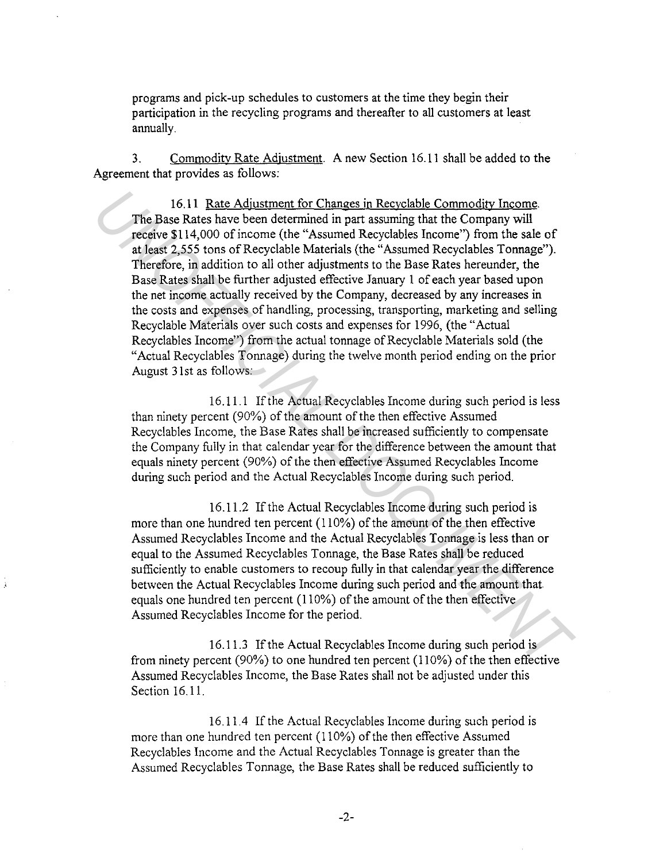programs and pick-up schedules to customers at the time they begin their participation in the recycling programs and thereafter to all customers at least annually.

3. Commodity Rate Adjustment. A new Section 16.11 shall be added to the Agreement that provides as follows:

16.11 Rate Adjustment for Changes in Recyclable Commodity Income. The Base Rates have been determined in part assuming that the Company will receive \$114,000 of income (the "Assumed Recyclables Income") from the sale of at least 2,555 tons of Recyclable Materials (the "Assumed Recyclables Tonnage"). Therefore, in addition to all other adjustments to the Base Rates hereunder, the Base Rates shall be further adjusted effective January 1 of each year based upon the net income actually received by the Company, decreased by any increases in the costs and expenses of handling, processing, transporting, marketing and selling Recyclable Materials over such costs and expenses for 1996, (the "Actual Recyclables Income") from the actual tonnage of Recyclable Materials sold (the "Actual Recyclables Tonnage) during the twelve month period ending on the prior August 3 lst as follows: 16.11 Rate Adjustment for Changes in Recyclable Commodity Income<br>
The Base Rates have been determined in part assumed part above the company will<br>
receive \$114,000 of income (the "Assumed Recyclables Iroome") from the sale

16.11.1 If the Actual Recyclables Income during such period is less than ninety percent (90%) of the amount of the then effective Assumed Recyclables Income, the Base Rates shall be increased sufficiently to compensate the Company fully in that calendar year for the difference between the amount that equals ninety percent (90%) of the then effective Assumed Recyclables Income during such period and the Actual Recyclables Income during such period.

16.11.2 If the Actual Recyclables Income during such period is more than one hundred ten percent (110%) of the amount of the then effective Assumed Recyclables Income and the Actual Recyclables Tonnage is less than or equal to the Assumed Recyclables Tonnage, the Base Rates shall be reduced sufficiently to enable customers to recoup fully in that calendar year the difference between the Actual Recyclables Income during such period and the amount that equals one hundred ten percent ( 110%) of the amount of the then effective Assumed Recyclables Income for the period.

16.11.3 If the Actual Recyclables Income during such period is from ninety percent (90%) to one hundred ten percent (110%) of the then effective Assumed Recyclables Income, the Base Rates shall not be adjusted under this Section 16.11.

16.11.4 If the Actual Recyclables Income during such period is more than one hundred ten percent ( 110%) of the then effective Assumed Recyclables Income and the Actual Recyclables Tonnage is greater than the Assumed Recyclables Tonnage, the Base Rates shall be reduced sufficiently to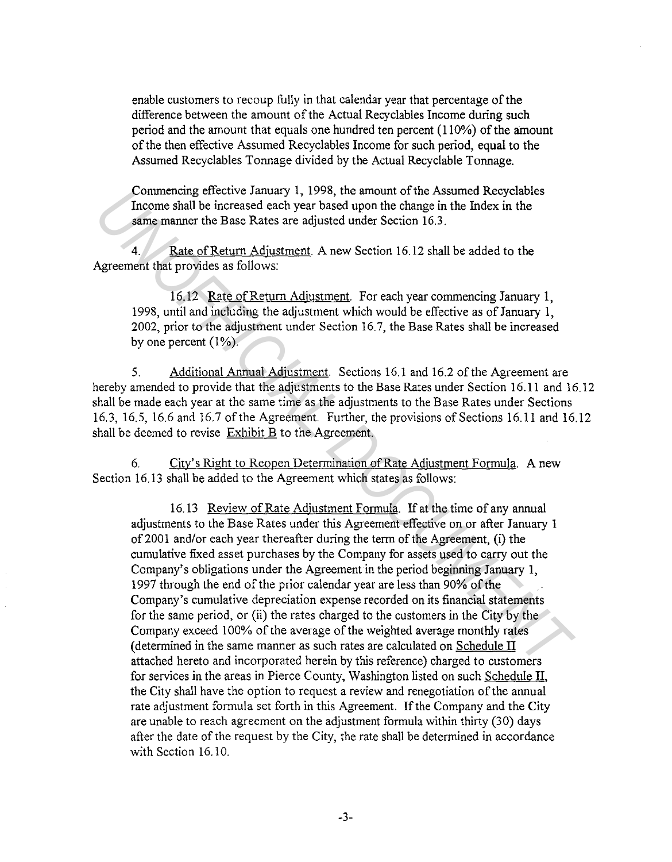enable customers to recoup fully in that calendar year that percentage of the difference between the amount of the Actual Recyclables Income during such period and the amount that equals one hundred ten percent ( 110%) of the amount of the then effective Assumed Recyclables Income for such period, equal to the Assumed Recyclables Tonnage divided by the Actual Recyclable Tonnage.

Commencing effective January 1, 1998, the amount of the Assumed Recyclables Income shall be increased each year based upon the change in the Index in the same manner the Base Rates are adjusted under Section 16.3.

4. Rate of Return Adjustment. A new Section 16.12 shall be added to the Agreement that provides as follows:

16.12 Rate of Return Adjustment. For each year commencing January 1, 1998, until and including the adjustment which would be effective as of January 1, 2002, prior to the adjustment under Section 16.7, the Base Rates shall be increased by one percent  $(1\%)$ .

5. Additional Annual Adjustment. Sections 16.1 and 16.2 of the Agreement are hereby amended to provide that the adjustments to the Base Rates under Section 16.11 and 16.12 shall be made each year at the same time as the adjustments to the Base Rates under Sections 16.3, 16.5, 16.6 and 16.7 of the Agreement. Further, the provisions of Sections 16.11 and 16.12 shall be deemed to revise  $Exhibit B$  to the Agreement.

6. City's Right to Reopen Determination of Rate Adjustment Formula. A new Section 16.13 shall be added to the Agreement which states as follows:

16. 13 Review of Rate Adjustment Formula. If at the time of any annual adjustments to the Base Rates under this Agreement effective on or after January 1 of2001 and/or each year thereafter during the term of the Agreement, (i) the cumulative fixed asset purchases by the Company for assets used to carry out the Company's obligations under the Agreement in the period beginning January 1, 1997 through the end of the prior calendar year are less than 90% of the Company's cumulative depreciation expense recorded on its financial statements for the same period, or (ii) the rates charged to the customers in the City by the Company exceed 100% of the average of the weighted average monthly rates (determined in the same manner as such rates are calculated on Schedule II attached hereto and incorporated herein by this reference) charged to customers for services in the areas in Pierce County, Washington listed on such Schedule II, the City shall have the option to request a review and renegotiation of the annual rate adjustment formula set forth in this Agreement. If the Company and the City are unable to reach agreement on the adjustment formula within thirty (30) days after the date of the request by the City, the rate shall be determined in accordance with Section 16.10. Commentant be increased each year based upon the chassume Keeyuatoes<br>Income shall be increased each year based upon the charge in the Index in the<br>same manner the Base Rates are adjusted under Section 16.3.<br>4. Rate of Retu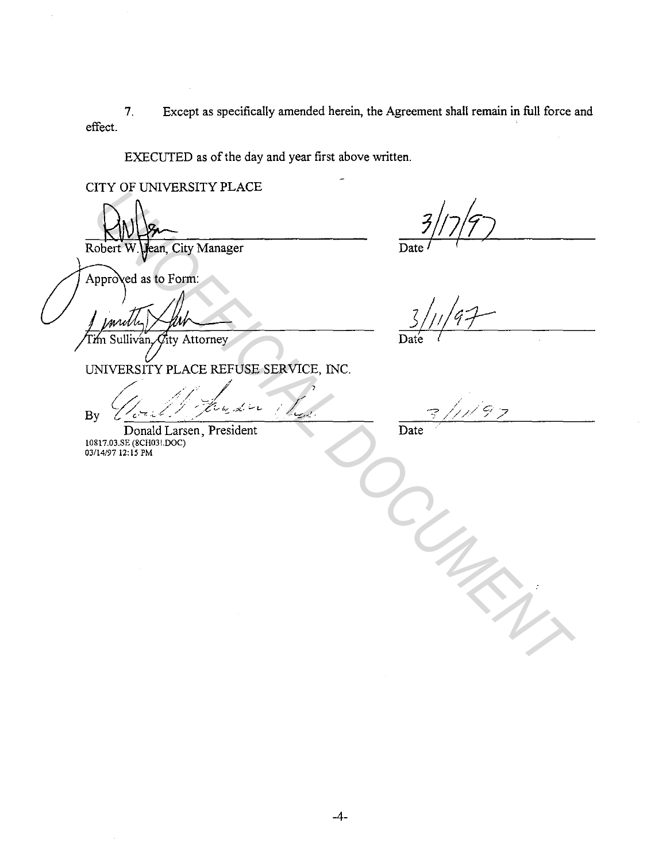$7<sub>1</sub>$ Except as specifically amended herein, the Agreement shall remain in full force and effect.

EXECUTED as of the day and year first above written.

CITY OF UNIVERSITY PLACE

Jean, City Manager Robert W

Date

Approved as to Form:

 $\operatorname{\mathcal{C}}$ ity Attorney 'm Sullivan.

Date

UNIVERSITY PLACE REFUSE SERVICE, INC.

ساسا رکھتار رہا By

Donald Larsen, President 10817.03.SE (8CH031.DOC)<br>03/14/97 12:15 PM

تړم Date

 $-4-$